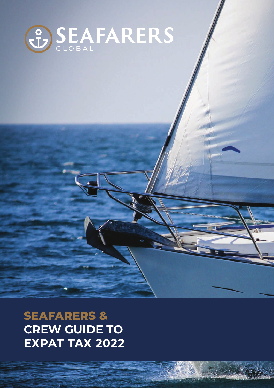

**SEAFARERS & CREW GUIDE TO EXPAT TAX 2022**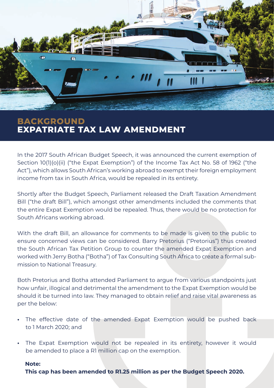

## **BACKGROUND EXPATRIATE TAX LAW AMENDMENT**

In the 2017 South African Budget Speech, it was announced the current exemption of Section 10(1)(o)(ii) ("the Expat Exemption") of the Income Tax Act No. 58 of 1962 ("the Act"), which allows South African's working abroad to exempt their foreign employment income from tax in South Africa, would be repealed in its entirety.

Shortly after the Budget Speech, Parliament released the Draft Taxation Amendment Bill ("the draft Bill"), which amongst other amendments included the comments that the entire Expat Exemption would be repealed. Thus, there would be no protection for South Africans working abroad.

With the draft Bill, an allowance for comments to be made is given to the public to ensure concerned views can be considered. Barry Pretorius ("Pretorius") thus created the South African Tax Petition Group to counter the amended Expat Exemption and worked with Jerry Botha ("Botha") of Tax Consulting South Africa to create a formal submission to National Treasury.

Both Pretorius and Botha attended Parliament to argue from various standpoints just how unfair, illogical and detrimental the amendment to the Expat Exemption would be should it be turned into law. They managed to obtain relief and raise vital awareness as per the below:

- **•** The effective date of the amended Expat Exemption would be pushed back to 1 March 2020; and
- **•** The Expat Exemption would not be repealed in its entirety, however it would be amended to place a R1 million cap on the exemption.

#### **Note:**

**This cap has been amended to R1.25 million as per the Budget Speech 2020.**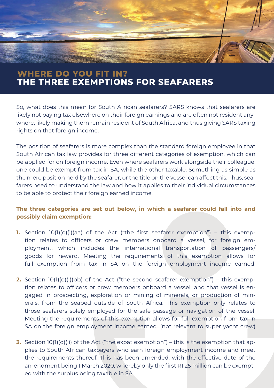# **WHERE DO YOU FIT IN? THE THREE EXEMPTIONS FOR SEAFARERS**

So, what does this mean for South African seafarers? SARS knows that seafarers are likely not paying tax elsewhere on their foreign earnings and are often not resident anywhere, likely making them remain resident of South Africa, and thus giving SARS taxing rights on that foreign income.

The position of seafarers is more complex than the standard foreign employee in that South African tax law provides for three different categories of exemption, which can be applied for on foreign income. Even where seafarers work alongside their colleague, one could be exempt from tax in SA, while the other taxable. Something as simple as the mere position held by the seafarer, or the title on the vessel can affect this. Thus, seafarers need to understand the law and how it applies to their individual circumstances to be able to protect their foreign earned income.

### **The three categories are set out below, in which a seafarer could fall into and possibly claim exemption:**

- **1.** Section 10(1)(o)(i)(aa) of the Act ("the first seafarer exemption") this exemption relates to officers or crew members onboard a vessel, for foreign employment, which includes the international transportation of passengers/ goods for reward. Meeting the requirements of this exemption allows for full exemption from tax in SA on the foreign employment income earned.
- **2.** Section 10(1)(o)(i)(bb) of the Act ("the second seafarer exemption") this exemption relates to officers or crew members onboard a vessel, and that vessel is engaged in prospecting, exploration or mining of minerals, or production of minerals, from the seabed outside of South Africa. This exemption only relates to those seafarers solely employed for the safe passage or navigation of the vessel. Meeting the requirements of this exemption allows for full exemption from tax in SA on the foreign employment income earned. (not relevant to super yacht crew)
- **3.** Section 10(1)(o)(ii) of the Act ("the expat exemption") this is the exemption that applies to South African taxpayers who earn foreign employment income and meet the requirements thereof. This has been amended, with the effective date of the amendment being 1 March 2020, whereby only the first R1,25 million can be exempted with the surplus being taxable in SA.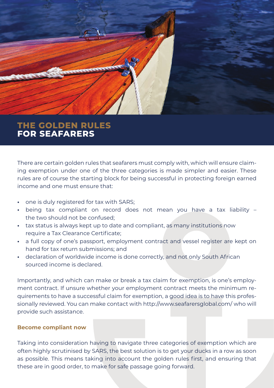

## **THE GOLDEN RULES FOR SEAFARERS**

There are certain golden rules that seafarers must comply with, which will ensure claiming exemption under one of the three categories is made simpler and easier. These rules are of course the starting block for being successful in protecting foreign earned income and one must ensure that:

- **•** one is duly registered for tax with SARS;
- **•** being tax compliant on record does not mean you have a tax liability the two should not be confused;
- **•** tax status is always kept up to date and compliant, as many institutions now require a Tax Clearance Certificate;
- **•** a full copy of one's passport, employment contract and vessel register are kept on hand for tax return submissions; and
- **•** declaration of worldwide income is done correctly, and not only South African sourced income is declared.

Importantly, and which can make or break a tax claim for exemption, is one's employment contract. If unsure whether your employment contract meets the minimum requirements to have a successful claim for exemption, a good idea is to have this professionally reviewed. You can make contact with http://www.seafarersglobal.com/ who will provide such assistance.

#### **Become compliant now**

Taking into consideration having to navigate three categories of exemption which are often highly scrutinised by SARS, the best solution is to get your ducks in a row as soon as possible. This means taking into account the golden rules first, and ensuring that these are in good order, to make for safe passage going forward.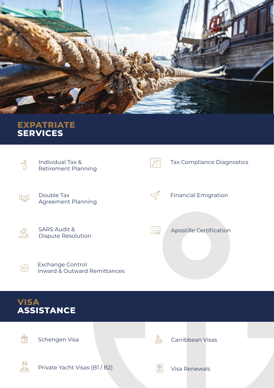

## **EXPATRIATE SERVICES**



# **VISA ASSISTANCE**



Schengen Visa



Carribbean Visas



Private Yacht Visas (B1 / B2)



Visa Renewals